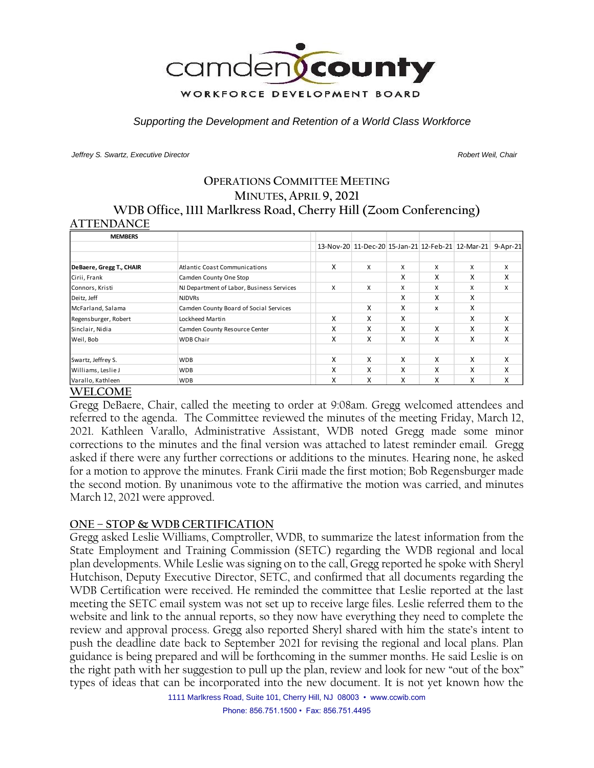

*Supporting the Development and Retention of a World Class Workforce*

*Jeffrey S. Swartz, Executive Director Robert Weil, Chair* 

## **OPERATIONS COMMITTEE MEETING MINUTES, APRIL 9, 2021 WDB Office, 1111 Marlkress Road, Cherry Hill (Zoom Conferencing) ATTENDANCE**

| <b>MEMBERS</b>           |                                           |   |   |   |   |                                                   |          |
|--------------------------|-------------------------------------------|---|---|---|---|---------------------------------------------------|----------|
|                          |                                           |   |   |   |   | 13-Nov-20 11-Dec-20 15-Jan-21 12-Feb-21 12-Mar-21 | 9-Apr-21 |
|                          |                                           |   |   |   |   |                                                   |          |
| DeBaere, Gregg T., CHAIR | <b>Atlantic Coast Communications</b>      | X | X | X | X | X                                                 | X        |
| Cirii, Frank             | Camden County One Stop                    |   |   | X | X | X                                                 | x        |
| Connors, Kristi          | NJ Department of Labor, Business Services | X | x | X | X | X                                                 | x        |
| Deitz, Jeff              | <b>NJDVRs</b>                             |   |   | x | X | X                                                 |          |
| McFarland, Salama        | Camden County Board of Social Services    |   | x | X | X | x                                                 |          |
| Regensburger, Robert     | Lockheed Martin                           | X | X | X |   | x                                                 | x        |
| Sinclair, Nidia          | Camden County Resource Center             | x | x | x | x | x                                                 | x        |
| Weil, Bob                | <b>WDB Chair</b>                          | X | x | x | x | X                                                 | X        |
|                          |                                           |   |   |   |   |                                                   |          |
| Swartz, Jeffrey S.       | <b>WDB</b>                                | X | x | x | x | x                                                 | x        |
| Williams, Leslie J       | <b>WDB</b>                                | X | x | x | X | x                                                 | X        |
| Varallo, Kathleen        | <b>WDB</b>                                | X | x | x | x | x                                                 | x        |

### **WELCOME**

Gregg DeBaere, Chair, called the meeting to order at 9:08am. Gregg welcomed attendees and referred to the agenda. The Committee reviewed the minutes of the meeting Friday, March 12, 2021. Kathleen Varallo, Administrative Assistant, WDB noted Gregg made some minor corrections to the minutes and the final version was attached to latest reminder email. Gregg asked if there were any further corrections or additions to the minutes. Hearing none, he asked for a motion to approve the minutes. Frank Cirii made the first motion; Bob Regensburger made the second motion. By unanimous vote to the affirmative the motion was carried, and minutes March 12, 2021 were approved.

### **ONE – STOP & WDB CERTIFICATION**

Gregg asked Leslie Williams, Comptroller, WDB, to summarize the latest information from the State Employment and Training Commission (SETC) regarding the WDB regional and local plan developments. While Leslie was signing on to the call, Gregg reported he spoke with Sheryl Hutchison, Deputy Executive Director, SETC, and confirmed that all documents regarding the WDB Certification were received. He reminded the committee that Leslie reported at the last meeting the SETC email system was not set up to receive large files. Leslie referred them to the website and link to the annual reports, so they now have everything they need to complete the review and approval process. Gregg also reported Sheryl shared with him the state's intent to push the deadline date back to September 2021 for revising the regional and local plans. Plan guidance is being prepared and will be forthcoming in the summer months. He said Leslie is on the right path with her suggestion to pull up the plan, review and look for new "out of the box" types of ideas that can be incorporated into the new document. It is not yet known how the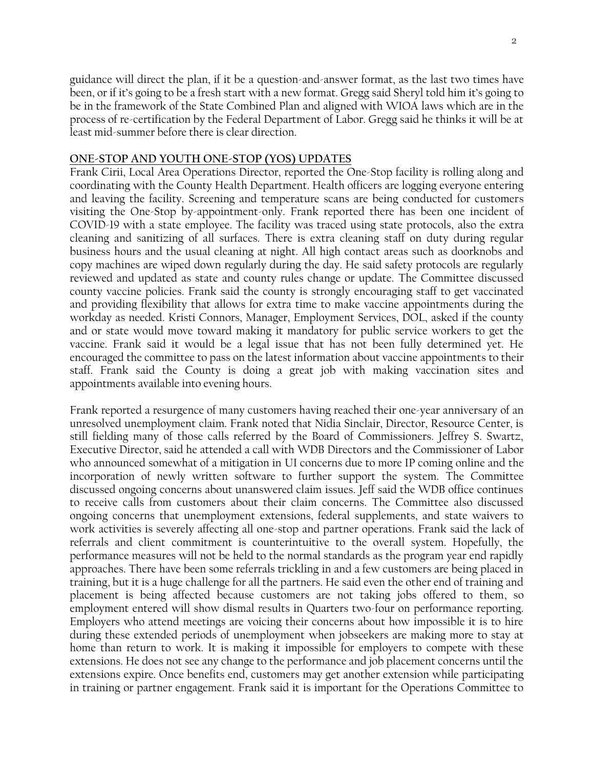guidance will direct the plan, if it be a question-and-answer format, as the last two times have been, or if it's going to be a fresh start with a new format. Gregg said Sheryl told him it's going to be in the framework of the State Combined Plan and aligned with WIOA laws which are in the process of re-certification by the Federal Department of Labor. Gregg said he thinks it will be at least mid-summer before there is clear direction.

#### **ONE-STOP AND YOUTH ONE-STOP (YOS) UPDATES**

Frank Cirii, Local Area Operations Director, reported the One-Stop facility is rolling along and coordinating with the County Health Department. Health officers are logging everyone entering and leaving the facility. Screening and temperature scans are being conducted for customers visiting the One-Stop by-appointment-only. Frank reported there has been one incident of COVID-19 with a state employee. The facility was traced using state protocols, also the extra cleaning and sanitizing of all surfaces. There is extra cleaning staff on duty during regular business hours and the usual cleaning at night. All high contact areas such as doorknobs and copy machines are wiped down regularly during the day. He said safety protocols are regularly reviewed and updated as state and county rules change or update. The Committee discussed county vaccine policies. Frank said the county is strongly encouraging staff to get vaccinated and providing flexibility that allows for extra time to make vaccine appointments during the workday as needed. Kristi Connors, Manager, Employment Services, DOL, asked if the county and or state would move toward making it mandatory for public service workers to get the vaccine. Frank said it would be a legal issue that has not been fully determined yet. He encouraged the committee to pass on the latest information about vaccine appointments to their staff. Frank said the County is doing a great job with making vaccination sites and appointments available into evening hours.

Frank reported a resurgence of many customers having reached their one-year anniversary of an unresolved unemployment claim. Frank noted that Nidia Sinclair, Director, Resource Center, is still fielding many of those calls referred by the Board of Commissioners. Jeffrey S. Swartz, Executive Director, said he attended a call with WDB Directors and the Commissioner of Labor who announced somewhat of a mitigation in UI concerns due to more IP coming online and the incorporation of newly written software to further support the system. The Committee discussed ongoing concerns about unanswered claim issues. Jeff said the WDB office continues to receive calls from customers about their claim concerns. The Committee also discussed ongoing concerns that unemployment extensions, federal supplements, and state waivers to work activities is severely affecting all one-stop and partner operations. Frank said the lack of referrals and client commitment is counterintuitive to the overall system. Hopefully, the performance measures will not be held to the normal standards as the program year end rapidly approaches. There have been some referrals trickling in and a few customers are being placed in training, but it is a huge challenge for all the partners. He said even the other end of training and placement is being affected because customers are not taking jobs offered to them, so employment entered will show dismal results in Quarters two-four on performance reporting. Employers who attend meetings are voicing their concerns about how impossible it is to hire during these extended periods of unemployment when jobseekers are making more to stay at home than return to work. It is making it impossible for employers to compete with these extensions. He does not see any change to the performance and job placement concerns until the extensions expire. Once benefits end, customers may get another extension while participating in training or partner engagement. Frank said it is important for the Operations Committee to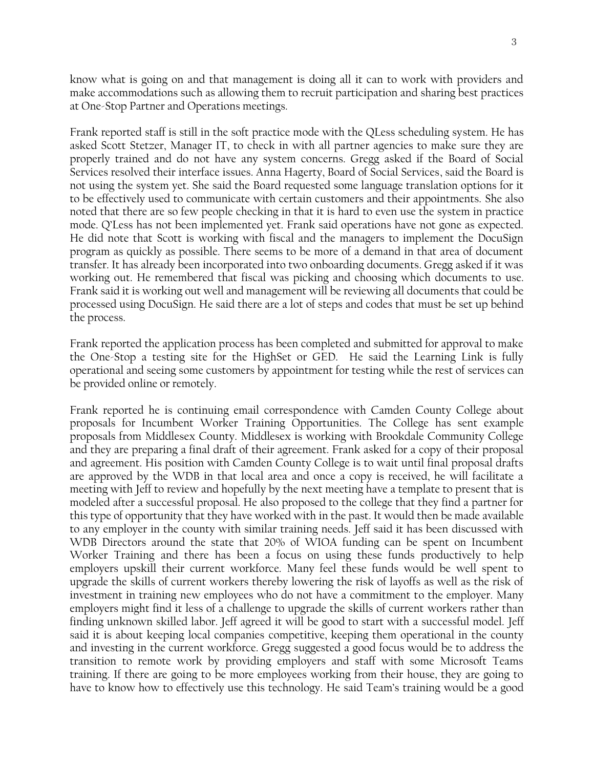know what is going on and that management is doing all it can to work with providers and make accommodations such as allowing them to recruit participation and sharing best practices at One-Stop Partner and Operations meetings.

Frank reported staff is still in the soft practice mode with the QLess scheduling system. He has asked Scott Stetzer, Manager IT, to check in with all partner agencies to make sure they are properly trained and do not have any system concerns. Gregg asked if the Board of Social Services resolved their interface issues. Anna Hagerty, Board of Social Services, said the Board is not using the system yet. She said the Board requested some language translation options for it to be effectively used to communicate with certain customers and their appointments. She also noted that there are so few people checking in that it is hard to even use the system in practice mode. Q'Less has not been implemented yet. Frank said operations have not gone as expected. He did note that Scott is working with fiscal and the managers to implement the DocuSign program as quickly as possible. There seems to be more of a demand in that area of document transfer. It has already been incorporated into two onboarding documents. Gregg asked if it was working out. He remembered that fiscal was picking and choosing which documents to use. Frank said it is working out well and management will be reviewing all documents that could be processed using DocuSign. He said there are a lot of steps and codes that must be set up behind the process.

Frank reported the application process has been completed and submitted for approval to make the One-Stop a testing site for the HighSet or GED. He said the Learning Link is fully operational and seeing some customers by appointment for testing while the rest of services can be provided online or remotely.

Frank reported he is continuing email correspondence with Camden County College about proposals for Incumbent Worker Training Opportunities. The College has sent example proposals from Middlesex County. Middlesex is working with Brookdale Community College and they are preparing a final draft of their agreement. Frank asked for a copy of their proposal and agreement. His position with Camden County College is to wait until final proposal drafts are approved by the WDB in that local area and once a copy is received, he will facilitate a meeting with Jeff to review and hopefully by the next meeting have a template to present that is modeled after a successful proposal. He also proposed to the college that they find a partner for this type of opportunity that they have worked with in the past. It would then be made available to any employer in the county with similar training needs. Jeff said it has been discussed with WDB Directors around the state that 20% of WIOA funding can be spent on Incumbent Worker Training and there has been a focus on using these funds productively to help employers upskill their current workforce. Many feel these funds would be well spent to upgrade the skills of current workers thereby lowering the risk of layoffs as well as the risk of investment in training new employees who do not have a commitment to the employer. Many employers might find it less of a challenge to upgrade the skills of current workers rather than finding unknown skilled labor. Jeff agreed it will be good to start with a successful model. Jeff said it is about keeping local companies competitive, keeping them operational in the county and investing in the current workforce. Gregg suggested a good focus would be to address the transition to remote work by providing employers and staff with some Microsoft Teams training. If there are going to be more employees working from their house, they are going to have to know how to effectively use this technology. He said Team's training would be a good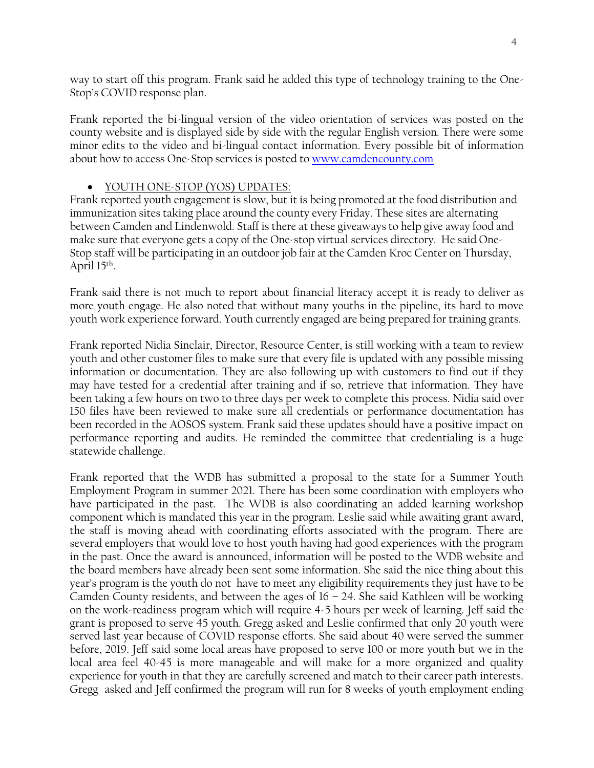way to start off this program. Frank said he added this type of technology training to the One-Stop's COVID response plan.

Frank reported the bi-lingual version of the video orientation of services was posted on the county website and is displayed side by side with the regular English version. There were some minor edits to the video and bi-lingual contact information. Every possible bit of information about how to access One-Stop services is posted t[o www.camdencounty.com](http://www.camdencounty.com/)

## • YOUTH ONE-STOP (YOS) UPDATES:

Frank reported youth engagement is slow, but it is being promoted at the food distribution and immunization sites taking place around the county every Friday. These sites are alternating between Camden and Lindenwold. Staff is there at these giveaways to help give away food and make sure that everyone gets a copy of the One-stop virtual services directory. He said One-Stop staff will be participating in an outdoor job fair at the Camden Kroc Center on Thursday, April 15th .

Frank said there is not much to report about financial literacy accept it is ready to deliver as more youth engage. He also noted that without many youths in the pipeline, its hard to move youth work experience forward. Youth currently engaged are being prepared for training grants.

Frank reported Nidia Sinclair, Director, Resource Center, is still working with a team to review youth and other customer files to make sure that every file is updated with any possible missing information or documentation. They are also following up with customers to find out if they may have tested for a credential after training and if so, retrieve that information. They have been taking a few hours on two to three days per week to complete this process. Nidia said over 150 files have been reviewed to make sure all credentials or performance documentation has been recorded in the AOSOS system. Frank said these updates should have a positive impact on performance reporting and audits. He reminded the committee that credentialing is a huge statewide challenge.

Frank reported that the WDB has submitted a proposal to the state for a Summer Youth Employment Program in summer 2021. There has been some coordination with employers who have participated in the past. The WDB is also coordinating an added learning workshop component which is mandated this year in the program. Leslie said while awaiting grant award, the staff is moving ahead with coordinating efforts associated with the program. There are several employers that would love to host youth having had good experiences with the program in the past. Once the award is announced, information will be posted to the WDB website and the board members have already been sent some information. She said the nice thing about this year's program is the youth do not have to meet any eligibility requirements they just have to be Camden County residents, and between the ages of  $16 - 24$ . She said Kathleen will be working on the work-readiness program which will require 4-5 hours per week of learning. Jeff said the grant is proposed to serve 45 youth. Gregg asked and Leslie confirmed that only 20 youth were served last year because of COVID response efforts. She said about 40 were served the summer before, 2019. Jeff said some local areas have proposed to serve 100 or more youth but we in the local area feel 40-45 is more manageable and will make for a more organized and quality experience for youth in that they are carefully screened and match to their career path interests. Gregg asked and Jeff confirmed the program will run for 8 weeks of youth employment ending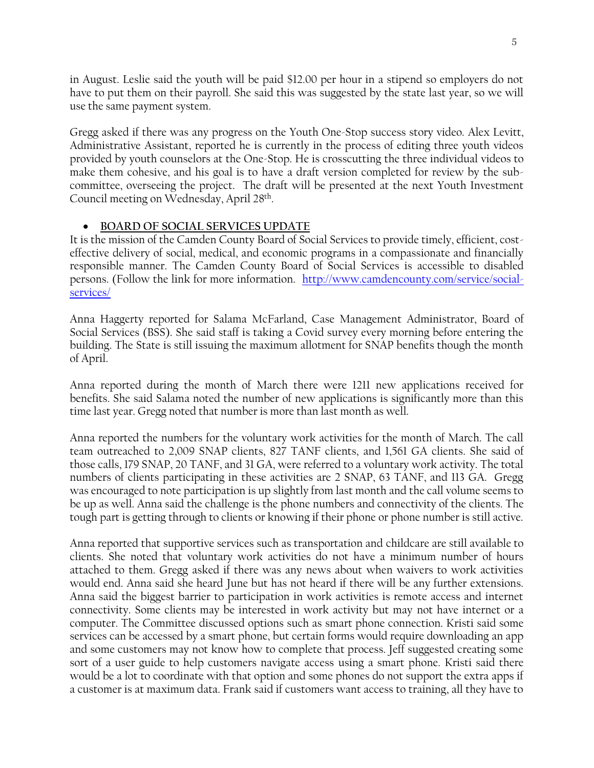in August. Leslie said the youth will be paid \$12.00 per hour in a stipend so employers do not have to put them on their payroll. She said this was suggested by the state last year, so we will use the same payment system.

Gregg asked if there was any progress on the Youth One-Stop success story video. Alex Levitt, Administrative Assistant, reported he is currently in the process of editing three youth videos provided by youth counselors at the One-Stop. He is crosscutting the three individual videos to make them cohesive, and his goal is to have a draft version completed for review by the subcommittee, overseeing the project. The draft will be presented at the next Youth Investment Council meeting on Wednesday, April 28th .

### • **BOARD OF SOCIAL SERVICES UPDATE**

It is the mission of the Camden County Board of Social Services to provide timely, efficient, costeffective delivery of social, medical, and economic programs in a compassionate and financially responsible manner. The Camden County Board of Social Services is accessible to disabled persons. (Follow the link for more information. [http://www.camdencounty.com/service/social](http://www.camdencounty.com/service/social-services/)[services/](http://www.camdencounty.com/service/social-services/)

Anna Haggerty reported for Salama McFarland, Case Management Administrator, Board of Social Services (BSS). She said staff is taking a Covid survey every morning before entering the building. The State is still issuing the maximum allotment for SNAP benefits though the month of April.

Anna reported during the month of March there were 1211 new applications received for benefits. She said Salama noted the number of new applications is significantly more than this time last year. Gregg noted that number is more than last month as well.

Anna reported the numbers for the voluntary work activities for the month of March. The call team outreached to 2,009 SNAP clients, 827 TANF clients, and 1,561 GA clients. She said of those calls, 179 SNAP, 20 TANF, and 31 GA, were referred to a voluntary work activity. The total numbers of clients participating in these activities are 2 SNAP, 63 TANF, and 113 GA. Gregg was encouraged to note participation is up slightly from last month and the call volume seems to be up as well. Anna said the challenge is the phone numbers and connectivity of the clients. The tough part is getting through to clients or knowing if their phone or phone number is still active.

Anna reported that supportive services such as transportation and childcare are still available to clients. She noted that voluntary work activities do not have a minimum number of hours attached to them. Gregg asked if there was any news about when waivers to work activities would end. Anna said she heard June but has not heard if there will be any further extensions. Anna said the biggest barrier to participation in work activities is remote access and internet connectivity. Some clients may be interested in work activity but may not have internet or a computer. The Committee discussed options such as smart phone connection. Kristi said some services can be accessed by a smart phone, but certain forms would require downloading an app and some customers may not know how to complete that process. Jeff suggested creating some sort of a user guide to help customers navigate access using a smart phone. Kristi said there would be a lot to coordinate with that option and some phones do not support the extra apps if a customer is at maximum data. Frank said if customers want access to training, all they have to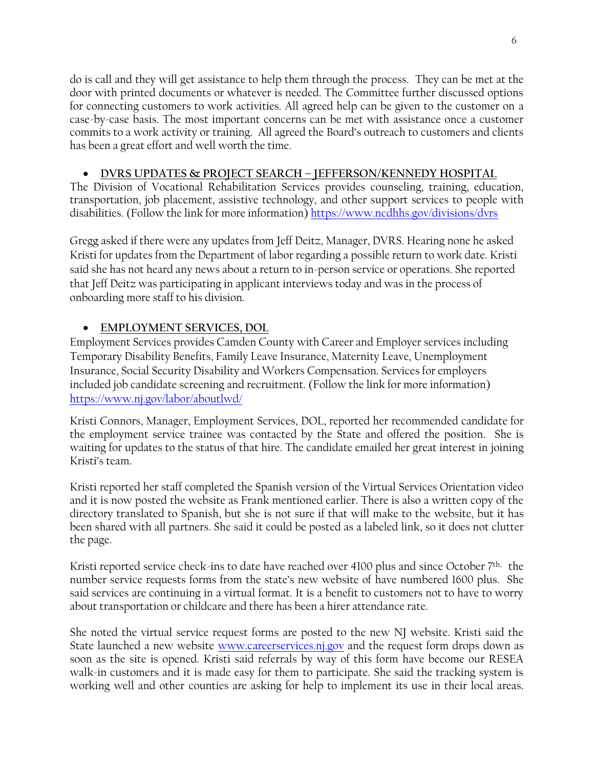do is call and they will get assistance to help them through the process. They can be met at the door with printed documents or whatever is needed. The Committee further discussed options for connecting customers to work activities. All agreed help can be given to the customer on a case-by-case basis. The most important concerns can be met with assistance once a customer commits to a work activity or training. All agreed the Board's outreach to customers and clients has been a great effort and well worth the time.

# • **DVRS UPDATES & PROJECT SEARCH – JEFFERSON/KENNEDY HOSPITAL**

The Division of Vocational Rehabilitation Services provides counseling, training, education, transportation, job placement, assistive technology, and other support services to people with disabilities. (Follow the link for more information) <https://www.ncdhhs.gov/divisions/dvrs>

Gregg asked if there were any updates from Jeff Deitz, Manager, DVRS. Hearing none he asked Kristi for updates from the Department of labor regarding a possible return to work date. Kristi said she has not heard any news about a return to in-person service or operations. She reported that Jeff Deitz was participating in applicant interviews today and was in the process of onboarding more staff to his division.

# • **EMPLOYMENT SERVICES, DOL**

Employment Services provides Camden County with Career and Employer services including Temporary Disability Benefits, Family Leave Insurance, Maternity Leave, Unemployment Insurance, Social Security Disability and Workers Compensation. Services for employers included job candidate screening and recruitment. (Follow the link for more information) <https://www.nj.gov/labor/aboutlwd/>

Kristi Connors, Manager, Employment Services, DOL, reported her recommended candidate for the employment service trainee was contacted by the State and offered the position. She is waiting for updates to the status of that hire. The candidate emailed her great interest in joining Kristi's team.

Kristi reported her staff completed the Spanish version of the Virtual Services Orientation video and it is now posted the website as Frank mentioned earlier. There is also a written copy of the directory translated to Spanish, but she is not sure if that will make to the website, but it has been shared with all partners. She said it could be posted as a labeled link, so it does not clutter the page.

Kristi reported service check-ins to date have reached over 4100 plus and since October 7<sup>th,</sup> the number service requests forms from the state's new website of have numbered 1600 plus. She said services are continuing in a virtual format. It is a benefit to customers not to have to worry about transportation or childcare and there has been a hirer attendance rate.

She noted the virtual service request forms are posted to the new NJ website. Kristi said the State launched a new website [www.careerservices.nj.gov](http://www.careerservices.nj.gov/) and the request form drops down as soon as the site is opened. Kristi said referrals by way of this form have become our RESEA walk-in customers and it is made easy for them to participate. She said the tracking system is working well and other counties are asking for help to implement its use in their local areas.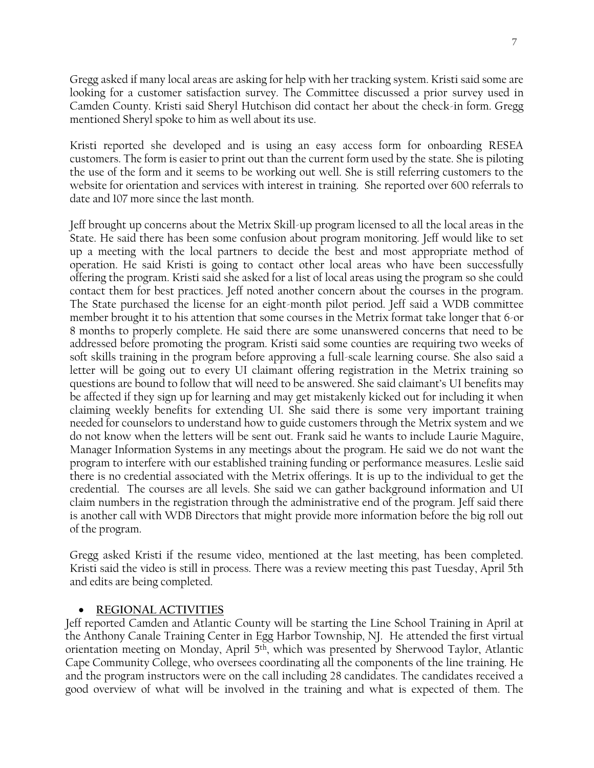Gregg asked if many local areas are asking for help with her tracking system. Kristi said some are looking for a customer satisfaction survey. The Committee discussed a prior survey used in Camden County. Kristi said Sheryl Hutchison did contact her about the check-in form. Gregg mentioned Sheryl spoke to him as well about its use.

Kristi reported she developed and is using an easy access form for onboarding RESEA customers. The form is easier to print out than the current form used by the state. She is piloting the use of the form and it seems to be working out well. She is still referring customers to the website for orientation and services with interest in training. She reported over 600 referrals to date and 107 more since the last month.

Jeff brought up concerns about the Metrix Skill-up program licensed to all the local areas in the State. He said there has been some confusion about program monitoring. Jeff would like to set up a meeting with the local partners to decide the best and most appropriate method of operation. He said Kristi is going to contact other local areas who have been successfully offering the program. Kristi said she asked for a list of local areas using the program so she could contact them for best practices. Jeff noted another concern about the courses in the program. The State purchased the license for an eight-month pilot period. Jeff said a WDB committee member brought it to his attention that some courses in the Metrix format take longer that 6-or 8 months to properly complete. He said there are some unanswered concerns that need to be addressed before promoting the program. Kristi said some counties are requiring two weeks of soft skills training in the program before approving a full-scale learning course. She also said a letter will be going out to every UI claimant offering registration in the Metrix training so questions are bound to follow that will need to be answered. She said claimant's UI benefits may be affected if they sign up for learning and may get mistakenly kicked out for including it when claiming weekly benefits for extending UI. She said there is some very important training needed for counselors to understand how to guide customers through the Metrix system and we do not know when the letters will be sent out. Frank said he wants to include Laurie Maguire, Manager Information Systems in any meetings about the program. He said we do not want the program to interfere with our established training funding or performance measures. Leslie said there is no credential associated with the Metrix offerings. It is up to the individual to get the credential. The courses are all levels. She said we can gather background information and UI claim numbers in the registration through the administrative end of the program. Jeff said there is another call with WDB Directors that might provide more information before the big roll out of the program.

Gregg asked Kristi if the resume video, mentioned at the last meeting, has been completed. Kristi said the video is still in process. There was a review meeting this past Tuesday, April 5th and edits are being completed.

### • **REGIONAL ACTIVITIES**

Jeff reported Camden and Atlantic County will be starting the Line School Training in April at the Anthony Canale Training Center in Egg Harbor Township, NJ. He attended the first virtual orientation meeting on Monday, April 5<sup>th</sup>, which was presented by Sherwood Taylor, Atlantic Cape Community College, who oversees coordinating all the components of the line training. He and the program instructors were on the call including 28 candidates. The candidates received a good overview of what will be involved in the training and what is expected of them. The